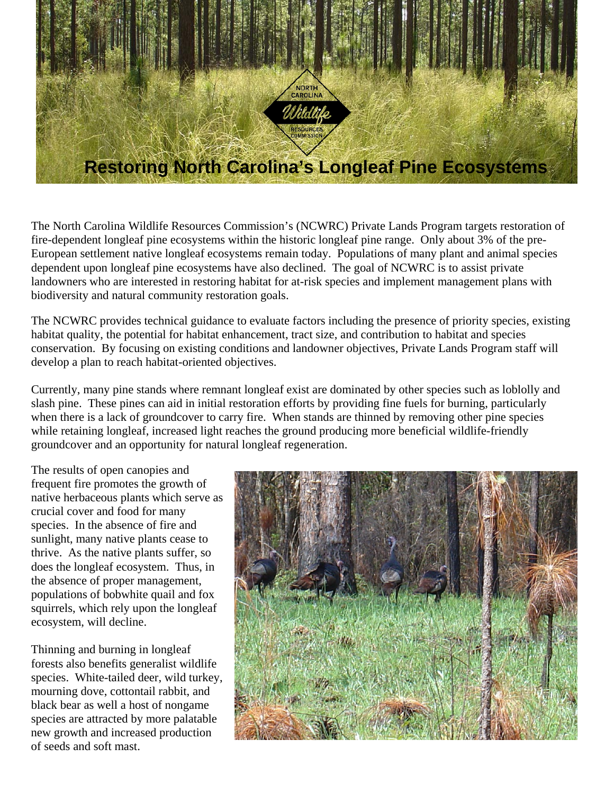

The North Carolina Wildlife Resources Commission's (NCWRC) Private Lands Program targets restoration of fire-dependent longleaf pine ecosystems within the historic longleaf pine range. Only about 3% of the pre-European settlement native longleaf ecosystems remain today. Populations of many plant and animal species dependent upon longleaf pine ecosystems have also declined. The goal of NCWRC is to assist private landowners who are interested in restoring habitat for at-risk species and implement management plans with biodiversity and natural community restoration goals.

The NCWRC provides technical guidance to evaluate factors including the presence of priority species, existing habitat quality, the potential for habitat enhancement, tract size, and contribution to habitat and species conservation. By focusing on existing conditions and landowner objectives, Private Lands Program staff will develop a plan to reach habitat-oriented objectives.

Currently, many pine stands where remnant longleaf exist are dominated by other species such as loblolly and slash pine. These pines can aid in initial restoration efforts by providing fine fuels for burning, particularly when there is a lack of groundcover to carry fire. When stands are thinned by removing other pine species while retaining longleaf, increased light reaches the ground producing more beneficial wildlife-friendly groundcover and an opportunity for natural longleaf regeneration.

The results of open canopies and frequent fire promotes the growth of native herbaceous plants which serve as crucial cover and food for many species. In the absence of fire and sunlight, many native plants cease to thrive. As the native plants suffer, so does the longleaf ecosystem. Thus, in the absence of proper management, populations of bobwhite quail and fox squirrels, which rely upon the longleaf ecosystem, will decline.

Thinning and burning in longleaf forests also benefits generalist wildlife species. White-tailed deer, wild turkey, mourning dove, cottontail rabbit, and black bear as well a host of nongame species are attracted by more palatable new growth and increased production of seeds and soft mast.

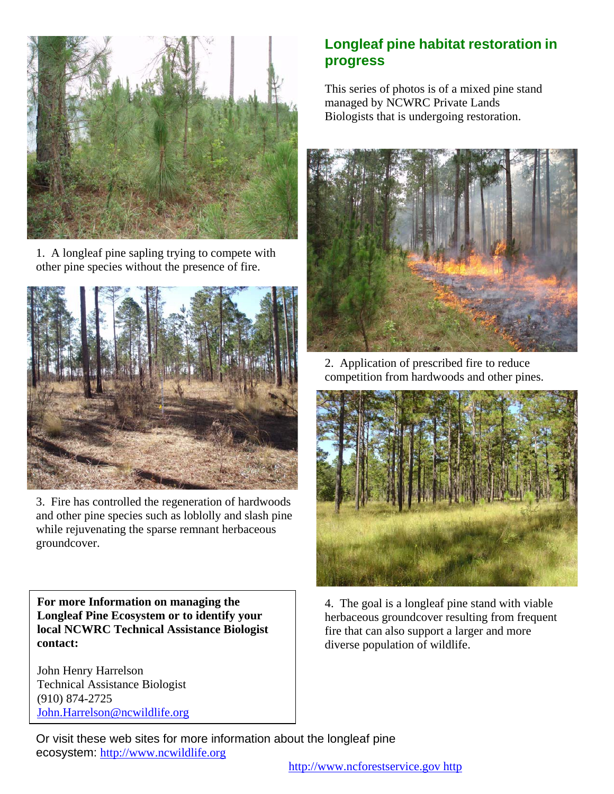

1. A longleaf pine sapling trying to compete with other pine species without the presence of fire.



3. Fire has controlled the regeneration of hardwoods and other pine species such as loblolly and slash pine while rejuvenating the sparse remnant herbaceous groundcover.

**For more Information on managing the Longleaf Pine Ecosystem or to identify your local NCWRC Technical Assistance Biologist contact:**

John Henry Harrelson Technical Assistance Biologist (910) 874-2725 [John.Harrelson@ncwildlife.org](mailto:John.Harrelson@ncwildlife.org)

## **Longleaf pine habitat restoration in progress**

This series of photos is of a mixed pine stand managed by NCWRC Private Lands Biologists that is undergoing restoration.



2. Application of prescribed fire to reduce competition from hardwoods and other pines.



4. The goal is a longleaf pine stand with viable herbaceous groundcover resulting from frequent fire that can also support a larger and more diverse population of wildlife.

Or visit these web sites for more information about the longleaf pine ecosystem: [http://www.ncwildlife.org](http://www.ncwildlife.org/)